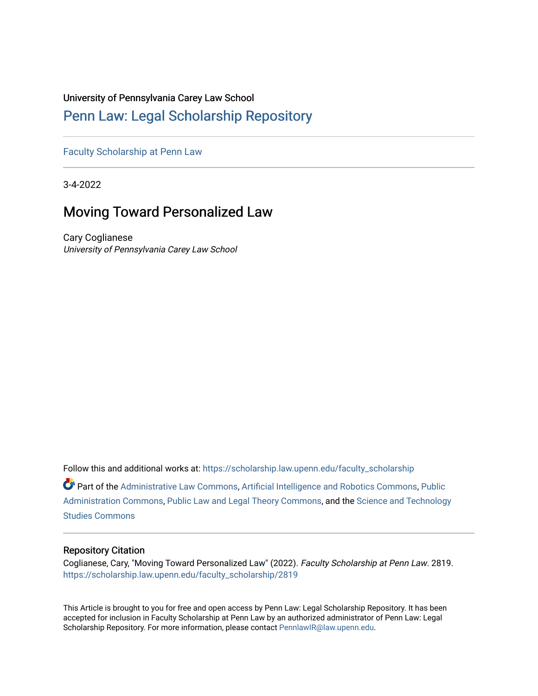### University of Pennsylvania Carey Law School

# [Penn Law: Legal Scholarship Repository](https://scholarship.law.upenn.edu/)

[Faculty Scholarship at Penn Law](https://scholarship.law.upenn.edu/faculty_scholarship)

3-4-2022

# Moving Toward Personalized Law

Cary Coglianese University of Pennsylvania Carey Law School

Follow this and additional works at: [https://scholarship.law.upenn.edu/faculty\\_scholarship](https://scholarship.law.upenn.edu/faculty_scholarship?utm_source=scholarship.law.upenn.edu%2Ffaculty_scholarship%2F2819&utm_medium=PDF&utm_campaign=PDFCoverPages) 

Part of the [Administrative Law Commons,](http://network.bepress.com/hgg/discipline/579?utm_source=scholarship.law.upenn.edu%2Ffaculty_scholarship%2F2819&utm_medium=PDF&utm_campaign=PDFCoverPages) [Artificial Intelligence and Robotics Commons](http://network.bepress.com/hgg/discipline/143?utm_source=scholarship.law.upenn.edu%2Ffaculty_scholarship%2F2819&utm_medium=PDF&utm_campaign=PDFCoverPages), [Public](http://network.bepress.com/hgg/discipline/398?utm_source=scholarship.law.upenn.edu%2Ffaculty_scholarship%2F2819&utm_medium=PDF&utm_campaign=PDFCoverPages)  [Administration Commons,](http://network.bepress.com/hgg/discipline/398?utm_source=scholarship.law.upenn.edu%2Ffaculty_scholarship%2F2819&utm_medium=PDF&utm_campaign=PDFCoverPages) [Public Law and Legal Theory Commons](http://network.bepress.com/hgg/discipline/871?utm_source=scholarship.law.upenn.edu%2Ffaculty_scholarship%2F2819&utm_medium=PDF&utm_campaign=PDFCoverPages), and the [Science and Technology](http://network.bepress.com/hgg/discipline/435?utm_source=scholarship.law.upenn.edu%2Ffaculty_scholarship%2F2819&utm_medium=PDF&utm_campaign=PDFCoverPages)  [Studies Commons](http://network.bepress.com/hgg/discipline/435?utm_source=scholarship.law.upenn.edu%2Ffaculty_scholarship%2F2819&utm_medium=PDF&utm_campaign=PDFCoverPages) 

### Repository Citation

Coglianese, Cary, "Moving Toward Personalized Law" (2022). Faculty Scholarship at Penn Law. 2819. [https://scholarship.law.upenn.edu/faculty\\_scholarship/2819](https://scholarship.law.upenn.edu/faculty_scholarship/2819?utm_source=scholarship.law.upenn.edu%2Ffaculty_scholarship%2F2819&utm_medium=PDF&utm_campaign=PDFCoverPages)

This Article is brought to you for free and open access by Penn Law: Legal Scholarship Repository. It has been accepted for inclusion in Faculty Scholarship at Penn Law by an authorized administrator of Penn Law: Legal Scholarship Repository. For more information, please contact [PennlawIR@law.upenn.edu.](mailto:PennlawIR@law.upenn.edu)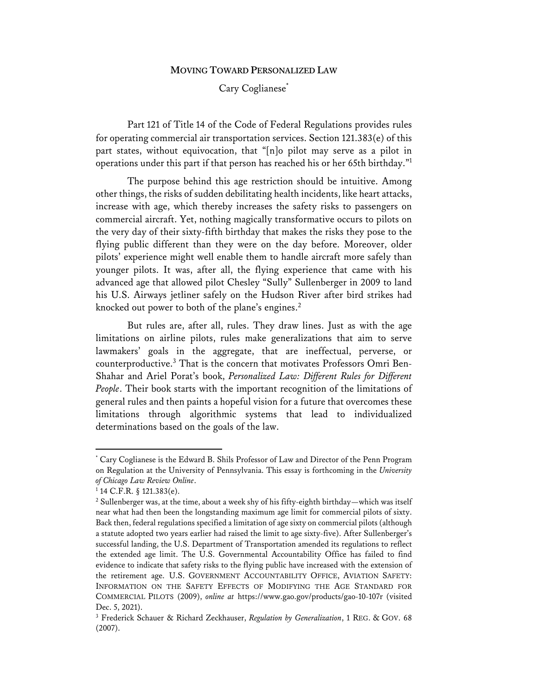#### **MOVING TOWARD PERSONALIZED LAW**

### Cary Coglianese<sup>\*</sup>

Part 121 of Title 14 of the Code of Federal Regulations provides rules for operating commercial air transportation services. Section 121.383(e) of this part states, without equivocation, that "[n]o pilot may serve as a pilot in operations under this part if that person has reached his or her 65th birthday."1

The purpose behind this age restriction should be intuitive. Among other things, the risks of sudden debilitating health incidents, like heart attacks, increase with age, which thereby increases the safety risks to passengers on commercial aircraft. Yet, nothing magically transformative occurs to pilots on the very day of their sixty-fifth birthday that makes the risks they pose to the flying public different than they were on the day before. Moreover, older pilots' experience might well enable them to handle aircraft more safely than younger pilots. It was, after all, the flying experience that came with his advanced age that allowed pilot Chesley "Sully" Sullenberger in 2009 to land his U.S. Airways jetliner safely on the Hudson River after bird strikes had knocked out power to both of the plane's engines. $2$ 

But rules are, after all, rules. They draw lines. Just as with the age limitations on airline pilots, rules make generalizations that aim to serve lawmakers' goals in the aggregate, that are ineffectual, perverse, or counterproductive.3 That is the concern that motivates Professors Omri Ben-Shahar and Ariel Porat's book, *Personalized Law: Different Rules for Different People*. Their book starts with the important recognition of the limitations of general rules and then paints a hopeful vision for a future that overcomes these limitations through algorithmic systems that lead to individualized determinations based on the goals of the law.

<sup>\*</sup> Cary Coglianese is the Edward B. Shils Professor of Law and Director of the Penn Program on Regulation at the University of Pennsylvania. This essay is forthcoming in the *University of Chicago Law Review Online*.

 $1$  14 C.F.R. § 121.383(e).

<sup>&</sup>lt;sup>2</sup> Sullenberger was, at the time, about a week shy of his fifty-eighth birthday—which was itself near what had then been the longstanding maximum age limit for commercial pilots of sixty. Back then, federal regulations specified a limitation of age sixty on commercial pilots (although a statute adopted two years earlier had raised the limit to age sixty-five). After Sullenberger's successful landing, the U.S. Department of Transportation amended its regulations to reflect the extended age limit. The U.S. Governmental Accountability Office has failed to find evidence to indicate that safety risks to the flying public have increased with the extension of the retirement age. U.S. GOVERNMENT ACCOUNTABILITY OFFICE, AVIATION SAFETY: INFORMATION ON THE SAFETY EFFECTS OF MODIFYING THE AGE STANDARD FOR COMMERCIAL PILOTS (2009), *online at* https://www.gao.gov/products/gao-10-107r (visited Dec. 5, 2021).

<sup>3</sup> Frederick Schauer & Richard Zeckhauser, *Regulation by Generalization*, 1 REG. & GOV. 68 (2007).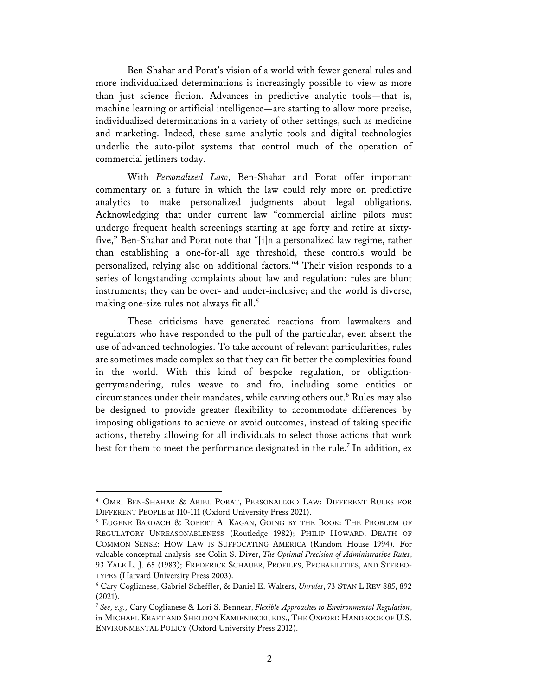Ben-Shahar and Porat's vision of a world with fewer general rules and more individualized determinations is increasingly possible to view as more than just science fiction. Advances in predictive analytic tools—that is, machine learning or artificial intelligence—are starting to allow more precise, individualized determinations in a variety of other settings, such as medicine and marketing. Indeed, these same analytic tools and digital technologies underlie the auto-pilot systems that control much of the operation of commercial jetliners today.

With *Personalized Law*, Ben-Shahar and Porat offer important commentary on a future in which the law could rely more on predictive analytics to make personalized judgments about legal obligations. Acknowledging that under current law "commercial airline pilots must undergo frequent health screenings starting at age forty and retire at sixtyfive," Ben-Shahar and Porat note that "[i]n a personalized law regime, rather than establishing a one-for-all age threshold, these controls would be personalized, relying also on additional factors."4 Their vision responds to a series of longstanding complaints about law and regulation: rules are blunt instruments; they can be over- and under-inclusive; and the world is diverse, making one-size rules not always fit all.<sup>5</sup>

These criticisms have generated reactions from lawmakers and regulators who have responded to the pull of the particular, even absent the use of advanced technologies. To take account of relevant particularities, rules are sometimes made complex so that they can fit better the complexities found in the world. With this kind of bespoke regulation, or obligationgerrymandering, rules weave to and fro, including some entities or circumstances under their mandates, while carving others out. <sup>6</sup> Rules may also be designed to provide greater flexibility to accommodate differences by imposing obligations to achieve or avoid outcomes, instead of taking specific actions, thereby allowing for all individuals to select those actions that work best for them to meet the performance designated in the rule.<sup>7</sup> In addition, ex

<sup>4</sup> OMRI BEN-SHAHAR & ARIEL PORAT, PERSONALIZED LAW: DIFFERENT RULES FOR DIFFERENT PEOPLE at 110-111 (Oxford University Press 2021).

<sup>5</sup> EUGENE BARDACH & ROBERT A. KAGAN, GOING BY THE BOOK: THE PROBLEM OF REGULATORY UNREASONABLENESS (Routledge 1982); PHILIP HOWARD, DEATH OF COMMON SENSE: HOW LAW IS SUFFOCATING AMERICA (Random House 1994). For valuable conceptual analysis, see Colin S. Diver, *The Optimal Precision of Administrative Rules*, 93 YALE L. J. 65 (1983); FREDERICK SCHAUER, PROFILES, PROBABILITIES, AND STEREO-TYPES (Harvard University Press 2003).

<sup>6</sup> Cary Coglianese, Gabriel Scheffler, & Daniel E. Walters, *Unrules*, 73 STAN L REV 885, 892 (2021).

<sup>7</sup> *See, e.g.,* Cary Coglianese & Lori S. Bennear, *Flexible Approaches to Environmental Regulation*, in MICHAEL KRAFT AND SHELDON KAMIENIECKI, EDS., THE OXFORD HANDBOOK OF U.S. ENVIRONMENTAL POLICY (Oxford University Press 2012).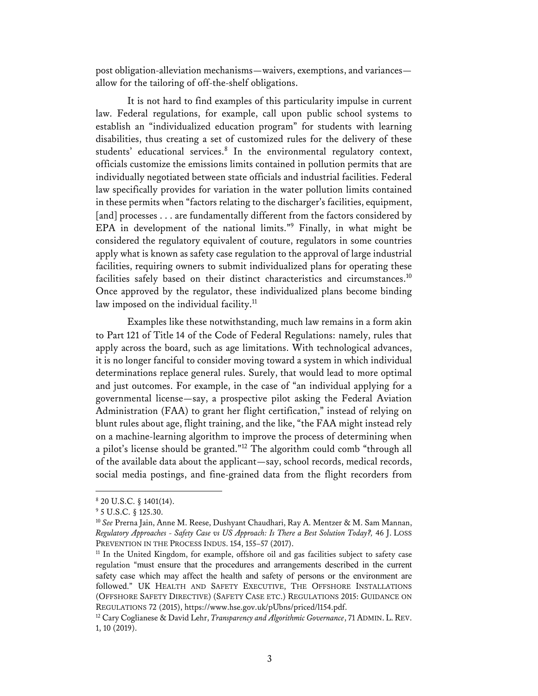post obligation-alleviation mechanisms—waivers, exemptions, and variances allow for the tailoring of off-the-shelf obligations.

It is not hard to find examples of this particularity impulse in current law. Federal regulations, for example, call upon public school systems to establish an "individualized education program" for students with learning disabilities, thus creating a set of customized rules for the delivery of these students' educational services.<sup>8</sup> In the environmental regulatory context, officials customize the emissions limits contained in pollution permits that are individually negotiated between state officials and industrial facilities. Federal law specifically provides for variation in the water pollution limits contained in these permits when "factors relating to the discharger's facilities, equipment, [and] processes . . . are fundamentally different from the factors considered by EPA in development of the national limits."9 Finally, in what might be considered the regulatory equivalent of couture, regulators in some countries apply what is known as safety case regulation to the approval of large industrial facilities, requiring owners to submit individualized plans for operating these facilities safely based on their distinct characteristics and circumstances.<sup>10</sup> Once approved by the regulator, these individualized plans become binding law imposed on the individual facility.<sup>11</sup>

Examples like these notwithstanding, much law remains in a form akin to Part 121 of Title 14 of the Code of Federal Regulations: namely, rules that apply across the board, such as age limitations. With technological advances, it is no longer fanciful to consider moving toward a system in which individual determinations replace general rules. Surely, that would lead to more optimal and just outcomes. For example, in the case of "an individual applying for a governmental license—say, a prospective pilot asking the Federal Aviation Administration (FAA) to grant her flight certification," instead of relying on blunt rules about age, flight training, and the like, "the FAA might instead rely on a machine-learning algorithm to improve the process of determining when a pilot's license should be granted."12 The algorithm could comb "through all of the available data about the applicant—say, school records, medical records, social media postings, and fine-grained data from the flight recorders from

<sup>8</sup> 20 U.S.C. § 1401(14).

<sup>9</sup> 5 U.S.C. § 125.30.

<sup>&</sup>lt;sup>10</sup> See Prerna Jain, Anne M. Reese, Dushyant Chaudhari, Ray A. Mentzer & M. Sam Mannan, *Regulatory Approaches - Safety Case vs US Approach: Is There a Best Solution Today?,* 46 J. LOSS PREVENTION IN THE PROCESS INDUS. 154, 155-57 (2017).

<sup>&</sup>lt;sup>11</sup> In the United Kingdom, for example, offshore oil and gas facilities subject to safety case regulation "must ensure that the procedures and arrangements described in the current safety case which may affect the health and safety of persons or the environment are followed." UK HEALTH AND SAFETY EXECUTIVE, THE OFFSHORE INSTALLATIONS (OFFSHORE SAFETY DIRECTIVE) (SAFETY CASE ETC.) REGULATIONS 2015: GUIDANCE ON REGULATIONS 72 (2015), https://www.hse.gov.uk/pUbns/priced/l154.pdf. 12 Cary Coglianese & David Lehr, *Transparency and Algorithmic Governance*, 71 ADMIN. L.REV.

<sup>1, 10 (2019).</sup>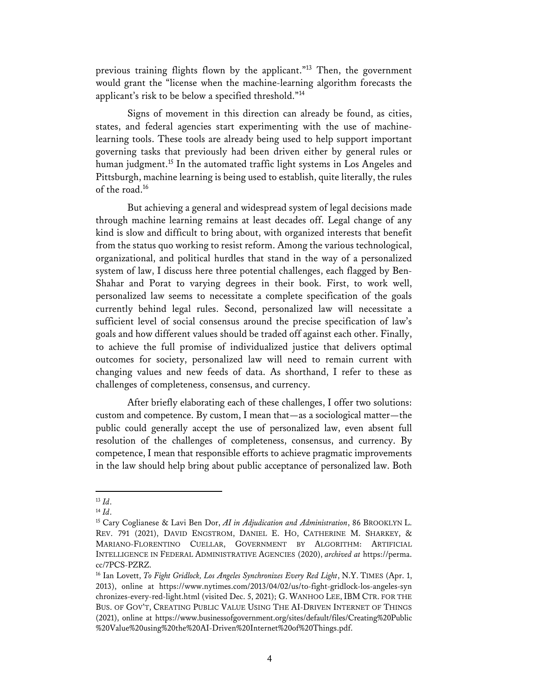previous training flights flown by the applicant."<sup>13</sup> Then, the government would grant the "license when the machine-learning algorithm forecasts the applicant's risk to be below a specified threshold."14

Signs of movement in this direction can already be found, as cities, states, and federal agencies start experimenting with the use of machinelearning tools. These tools are already being used to help support important governing tasks that previously had been driven either by general rules or human judgment.<sup>15</sup> In the automated traffic light systems in Los Angeles and Pittsburgh, machine learning is being used to establish, quite literally, the rules of the road. 16

But achieving a general and widespread system of legal decisions made through machine learning remains at least decades off. Legal change of any kind is slow and difficult to bring about, with organized interests that benefit from the status quo working to resist reform. Among the various technological, organizational, and political hurdles that stand in the way of a personalized system of law, I discuss here three potential challenges, each flagged by Ben-Shahar and Porat to varying degrees in their book. First, to work well, personalized law seems to necessitate a complete specification of the goals currently behind legal rules. Second, personalized law will necessitate a sufficient level of social consensus around the precise specification of law's goals and how different values should be traded off against each other. Finally, to achieve the full promise of individualized justice that delivers optimal outcomes for society, personalized law will need to remain current with changing values and new feeds of data. As shorthand, I refer to these as challenges of completeness, consensus, and currency.

After briefly elaborating each of these challenges, I offer two solutions: custom and competence. By custom, I mean that—as a sociological matter—the public could generally accept the use of personalized law, even absent full resolution of the challenges of completeness, consensus, and currency. By competence, I mean that responsible efforts to achieve pragmatic improvements in the law should help bring about public acceptance of personalized law. Both

<sup>13</sup> *Id*.

<sup>14</sup> *Id*.

<sup>15</sup> Cary Coglianese & Lavi Ben Dor, *AI in Adjudication and Administration*, 86 BROOKLYN L. REV. 791 (2021), DAVID ENGSTROM, DANIEL E. HO, CATHERINE M. SHARKEY, & MARIANO-FLORENTINO CUELLAR, GOVERNMENT BY ALGORITHM: ARTIFICIAL INTELLIGENCE IN FEDERAL ADMINISTRATIVE AGENCIES (2020), *archived at* https://perma. cc/7PCS-PZRZ.

<sup>&</sup>lt;sup>16</sup> Ian Lovett, *To Fight Gridlock, Los Angeles Synchronizes Every Red Light*, N.Y. TIMES (Apr. 1, 2013), online at https://www.nytimes.com/2013/04/02/us/to-fight-gridlock-los-angeles-syn chronizes-every-red-light.html (visited Dec. 5, 2021); G. WANHOO LEE, IBM CTR. FOR THE BUS. OF GOV'T, CREATING PUBLIC VALUE USING THE AI-DRIVEN INTERNET OF THINGS (2021), online at https://www.businessofgovernment.org/sites/default/files/Creating%20Public %20Value%20using%20the%20AI-Driven%20Internet%20of%20Things.pdf.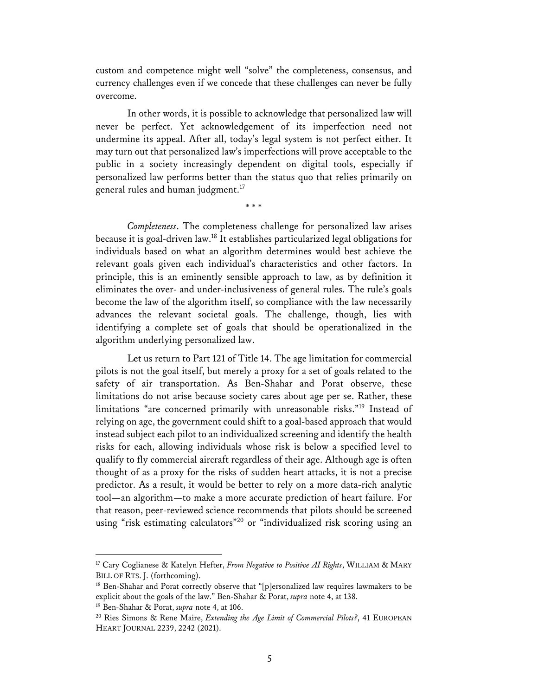custom and competence might well "solve" the completeness, consensus, and currency challenges even if we concede that these challenges can never be fully overcome.

In other words, it is possible to acknowledge that personalized law will never be perfect. Yet acknowledgement of its imperfection need not undermine its appeal. After all, today's legal system is not perfect either. It may turn out that personalized law's imperfections will prove acceptable to the public in a society increasingly dependent on digital tools, especially if personalized law performs better than the status quo that relies primarily on general rules and human judgment.<sup>17</sup>

\* \* \*

*Completeness*. The completeness challenge for personalized law arises because it is goal-driven law.18 It establishes particularized legal obligations for individuals based on what an algorithm determines would best achieve the relevant goals given each individual's characteristics and other factors. In principle, this is an eminently sensible approach to law, as by definition it eliminates the over- and under-inclusiveness of general rules. The rule's goals become the law of the algorithm itself, so compliance with the law necessarily advances the relevant societal goals. The challenge, though, lies with identifying a complete set of goals that should be operationalized in the algorithm underlying personalized law.

Let us return to Part 121 of Title 14. The age limitation for commercial pilots is not the goal itself, but merely a proxy for a set of goals related to the safety of air transportation. As Ben-Shahar and Porat observe, these limitations do not arise because society cares about age per se. Rather, these limitations "are concerned primarily with unreasonable risks."19 Instead of relying on age, the government could shift to a goal-based approach that would instead subject each pilot to an individualized screening and identify the health risks for each, allowing individuals whose risk is below a specified level to qualify to fly commercial aircraft regardless of their age. Although age is often thought of as a proxy for the risks of sudden heart attacks, it is not a precise predictor. As a result, it would be better to rely on a more data-rich analytic tool—an algorithm—to make a more accurate prediction of heart failure. For that reason, peer-reviewed science recommends that pilots should be screened using "risk estimating calculators"<sup>20</sup> or "individualized risk scoring using an

<sup>17</sup> Cary Coglianese & Katelyn Hefter, *From Negative to Positive AI Rights*, WILLIAM & MARY BILL OF RTS. J. (forthcoming).

<sup>&</sup>lt;sup>18</sup> Ben-Shahar and Porat correctly observe that "[p]ersonalized law requires lawmakers to be explicit about the goals of the law." Ben-Shahar & Porat, *supra* note 4, at 138.

<sup>19</sup> Ben-Shahar & Porat, *supra* note 4, at 106.

<sup>20</sup> Ries Simons & Rene Maire, *Extending the Age Limit of Commercial Pilots?*, 41 EUROPEAN HEART JOURNAL 2239, 2242 (2021).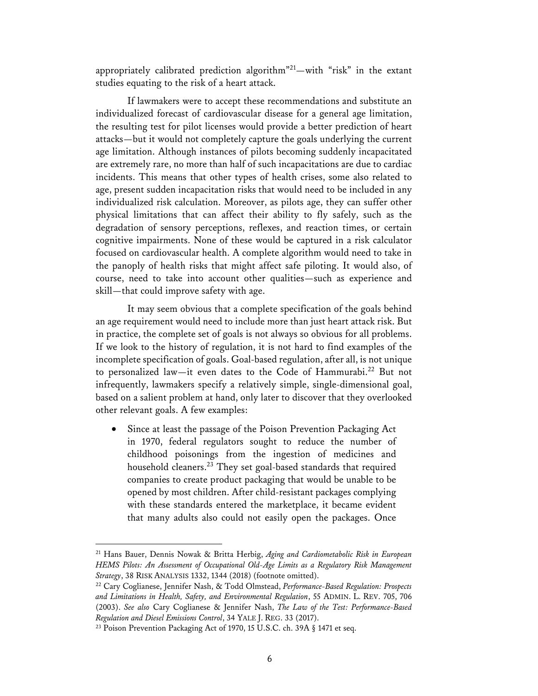appropriately calibrated prediction algorithm<sup>"21</sup>—with "risk" in the extant studies equating to the risk of a heart attack.

If lawmakers were to accept these recommendations and substitute an individualized forecast of cardiovascular disease for a general age limitation, the resulting test for pilot licenses would provide a better prediction of heart attacks—but it would not completely capture the goals underlying the current age limitation. Although instances of pilots becoming suddenly incapacitated are extremely rare, no more than half of such incapacitations are due to cardiac incidents. This means that other types of health crises, some also related to age, present sudden incapacitation risks that would need to be included in any individualized risk calculation. Moreover, as pilots age, they can suffer other physical limitations that can affect their ability to fly safely, such as the degradation of sensory perceptions, reflexes, and reaction times, or certain cognitive impairments. None of these would be captured in a risk calculator focused on cardiovascular health. A complete algorithm would need to take in the panoply of health risks that might affect safe piloting. It would also, of course, need to take into account other qualities—such as experience and skill—that could improve safety with age.

It may seem obvious that a complete specification of the goals behind an age requirement would need to include more than just heart attack risk. But in practice, the complete set of goals is not always so obvious for all problems. If we look to the history of regulation, it is not hard to find examples of the incomplete specification of goals. Goal-based regulation, after all, is not unique to personalized law—it even dates to the Code of Hammurabi.22 But not infrequently, lawmakers specify a relatively simple, single-dimensional goal, based on a salient problem at hand, only later to discover that they overlooked other relevant goals. A few examples:

• Since at least the passage of the Poison Prevention Packaging Act in 1970, federal regulators sought to reduce the number of childhood poisonings from the ingestion of medicines and household cleaners.<sup>23</sup> They set goal-based standards that required companies to create product packaging that would be unable to be opened by most children. After child-resistant packages complying with these standards entered the marketplace, it became evident that many adults also could not easily open the packages. Once

<sup>21</sup> Hans Bauer, Dennis Nowak & Britta Herbig, *Aging and Cardiometabolic Risk in European HEMS Pilots: An Assessment of Occupational Old-Age Limits as a Regulatory Risk Management Strategy*, 38 RISK ANALYSIS 1332, 1344 (2018) (footnote omitted).

<sup>22</sup> Cary Coglianese, Jennifer Nash, & Todd Olmstead, *Performance-Based Regulation: Prospects and Limitations in Health, Safety, and Environmental Regulation*, 55 ADMIN. L. REV. 705, 706 (2003). *See also* Cary Coglianese & Jennifer Nash, *The Law of the Test: Performance-Based Regulation and Diesel Emissions Control*, 34 YALE J. REG. 33 (2017).

<sup>&</sup>lt;sup>23</sup> Poison Prevention Packaging Act of 1970, 15 U.S.C. ch. 39A § 1471 et seq.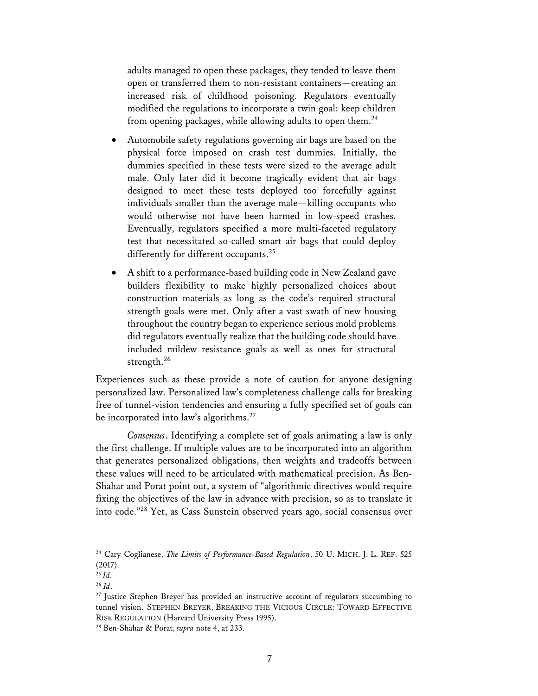adults managed to open these packages, they tended to leave them open or transferred them to non-resistant containers—creating an increased risk of childhood poisoning. Regulators eventually modified the regulations to incorporate a twin goal: keep children from opening packages, while allowing adults to open them.<sup>24</sup>

- Automobile safety regulations governing air bags are based on the physical force imposed on crash test dummies. Initially, the dummies specified in these tests were sized to the average adult male. Only later did it become tragically evident that air bags designed to meet these tests deployed too forcefully against individuals smaller than the average male—killing occupants who would otherwise not have been harmed in low-speed crashes. Eventually, regulators specified a more multi-faceted regulatory test that necessitated so-called smart air bags that could deploy differently for different occupants.<sup>25</sup>
- A shift to a performance-based building code in New Zealand gave builders flexibility to make highly personalized choices about construction materials as long as the code's required structural strength goals were met. Only after a vast swath of new housing throughout the country began to experience serious mold problems did regulators eventually realize that the building code should have included mildew resistance goals as well as ones for structural strength.<sup>26</sup>

Experiences such as these provide a note of caution for anyone designing personalized law. Personalized law's completeness challenge calls for breaking free of tunnel-vision tendencies and ensuring a fully specified set of goals can be incorporated into law's algorithms.<sup>27</sup>

*Consensus*. Identifying a complete set of goals animating a law is only the first challenge. If multiple values are to be incorporated into an algorithm that generates personalized obligations, then weights and tradeoffs between these values will need to be articulated with mathematical precision. As Ben-Shahar and Porat point out, a system of "algorithmic directives would require fixing the objectives of the law in advance with precision, so as to translate it into code."28 Yet, as Cass Sunstein observed years ago, social consensus over

<sup>24</sup> Cary Coglianese, *The Limits of Performance-Based Regulation*, 50 U. MICH. J. L. REF. 525 (2017).

 $25$  *Id.* 

<sup>26</sup> *Id*.

 $27$  Justice Stephen Brever has provided an instructive account of regulators succumbing to tunnel vision. STEPHEN BREYER, BREAKING THE VICIOUS CIRCLE: TOWARD EFFECTIVE RISK REGULATION (Harvard University Press 1995).

<sup>28</sup> Ben-Shahar & Porat, *supra* note 4, at 233.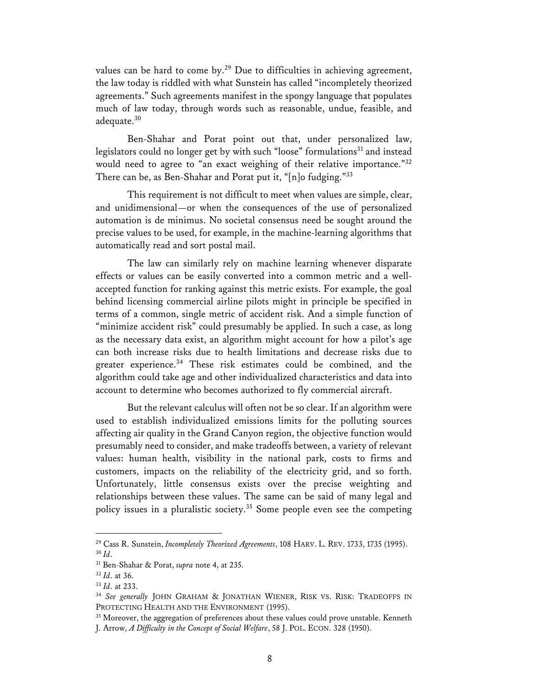values can be hard to come by.<sup>29</sup> Due to difficulties in achieving agreement, the law today is riddled with what Sunstein has called "incompletely theorized agreements." Such agreements manifest in the spongy language that populates much of law today, through words such as reasonable, undue, feasible, and adequate. 30

Ben-Shahar and Porat point out that, under personalized law, legislators could no longer get by with such "loose" formulations<sup>31</sup> and instead would need to agree to "an exact weighing of their relative importance."32 There can be, as Ben-Shahar and Porat put it, "[n]o fudging."33

This requirement is not difficult to meet when values are simple, clear, and unidimensional—or when the consequences of the use of personalized automation is de minimus. No societal consensus need be sought around the precise values to be used, for example, in the machine-learning algorithms that automatically read and sort postal mail.

The law can similarly rely on machine learning whenever disparate effects or values can be easily converted into a common metric and a wellaccepted function for ranking against this metric exists. For example, the goal behind licensing commercial airline pilots might in principle be specified in terms of a common, single metric of accident risk. And a simple function of "minimize accident risk" could presumably be applied. In such a case, as long as the necessary data exist, an algorithm might account for how a pilot's age can both increase risks due to health limitations and decrease risks due to greater experience.<sup>34</sup> These risk estimates could be combined, and the algorithm could take age and other individualized characteristics and data into account to determine who becomes authorized to fly commercial aircraft.

But the relevant calculus will often not be so clear. If an algorithm were used to establish individualized emissions limits for the polluting sources affecting air quality in the Grand Canyon region, the objective function would presumably need to consider, and make tradeoffs between, a variety of relevant values: human health, visibility in the national park, costs to firms and customers, impacts on the reliability of the electricity grid, and so forth. Unfortunately, little consensus exists over the precise weighting and relationships between these values. The same can be said of many legal and policy issues in a pluralistic society. <sup>35</sup> Some people even see the competing

<sup>29</sup> Cass R. Sunstein, *Incompletely Theorized Agreements*, 108 HARV. L. REV. 1733, 1735 (1995). <sup>30</sup> *Id*.

<sup>31</sup> Ben-Shahar & Porat, *supra* note 4, at 235.

<sup>32</sup> *Id*. at 36.

<sup>33</sup> *Id*. at 233.

<sup>34</sup> *See generally* JOHN GRAHAM & JONATHAN WIENER, RISK VS. RISK: TRADEOFFS IN PROTECTING HEALTH AND THE ENVIRONMENT (1995).

<sup>&</sup>lt;sup>35</sup> Moreover, the aggregation of preferences about these values could prove unstable. Kenneth J. Arrow, *A Difficulty in the Concept of Social Welfare*, 58 J. POL. ECON. 328 (1950).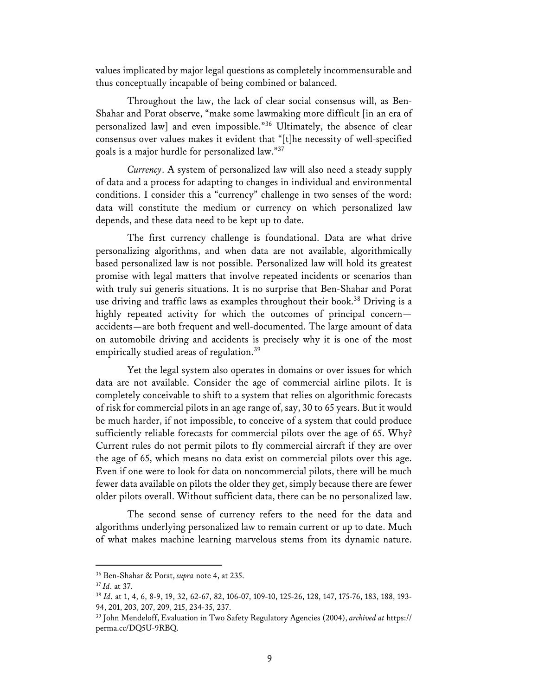values implicated by major legal questions as completely incommensurable and thus conceptually incapable of being combined or balanced.

Throughout the law, the lack of clear social consensus will, as Ben-Shahar and Porat observe, "make some lawmaking more difficult [in an era of personalized law] and even impossible."36 Ultimately, the absence of clear consensus over values makes it evident that "[t]he necessity of well-specified goals is a major hurdle for personalized law."37

*Currency*. A system of personalized law will also need a steady supply of data and a process for adapting to changes in individual and environmental conditions. I consider this a "currency" challenge in two senses of the word: data will constitute the medium or currency on which personalized law depends, and these data need to be kept up to date.

The first currency challenge is foundational. Data are what drive personalizing algorithms, and when data are not available, algorithmically based personalized law is not possible. Personalized law will hold its greatest promise with legal matters that involve repeated incidents or scenarios than with truly sui generis situations. It is no surprise that Ben-Shahar and Porat use driving and traffic laws as examples throughout their book. <sup>38</sup> Driving is a highly repeated activity for which the outcomes of principal concern accidents—are both frequent and well-documented. The large amount of data on automobile driving and accidents is precisely why it is one of the most empirically studied areas of regulation.<sup>39</sup>

Yet the legal system also operates in domains or over issues for which data are not available. Consider the age of commercial airline pilots. It is completely conceivable to shift to a system that relies on algorithmic forecasts of risk for commercial pilots in an age range of, say, 30 to 65 years. But it would be much harder, if not impossible, to conceive of a system that could produce sufficiently reliable forecasts for commercial pilots over the age of 65. Why? Current rules do not permit pilots to fly commercial aircraft if they are over the age of 65, which means no data exist on commercial pilots over this age. Even if one were to look for data on noncommercial pilots, there will be much fewer data available on pilots the older they get, simply because there are fewer older pilots overall. Without sufficient data, there can be no personalized law.

The second sense of currency refers to the need for the data and algorithms underlying personalized law to remain current or up to date. Much of what makes machine learning marvelous stems from its dynamic nature.

<sup>36</sup> Ben-Shahar & Porat, *supra* note 4, at 235.

<sup>37</sup> *Id*. at 37.

<sup>38</sup> *Id*. at 1, 4, 6, 8-9, 19, 32, 62-67, 82, 106-07, 109-10, 125-26, 128, 147, 175-76, 183, 188, 193- 94, 201, 203, 207, 209, 215, 234-35, 237.

<sup>39</sup> John Mendeloff, Evaluation in Two Safety Regulatory Agencies (2004), *archived at* https:// perma.cc/DQ5U-9RBQ.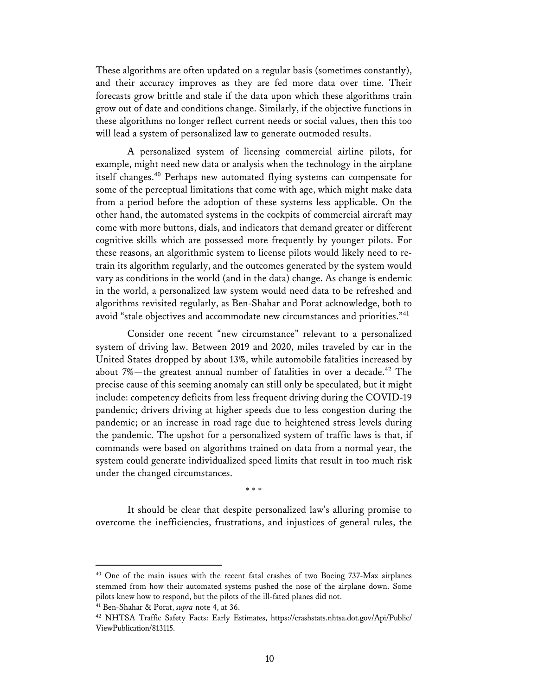These algorithms are often updated on a regular basis (sometimes constantly), and their accuracy improves as they are fed more data over time. Their forecasts grow brittle and stale if the data upon which these algorithms train grow out of date and conditions change. Similarly, if the objective functions in these algorithms no longer reflect current needs or social values, then this too will lead a system of personalized law to generate outmoded results.

A personalized system of licensing commercial airline pilots, for example, might need new data or analysis when the technology in the airplane itself changes. <sup>40</sup> Perhaps new automated flying systems can compensate for some of the perceptual limitations that come with age, which might make data from a period before the adoption of these systems less applicable. On the other hand, the automated systems in the cockpits of commercial aircraft may come with more buttons, dials, and indicators that demand greater or different cognitive skills which are possessed more frequently by younger pilots. For these reasons, an algorithmic system to license pilots would likely need to retrain its algorithm regularly, and the outcomes generated by the system would vary as conditions in the world (and in the data) change. As change is endemic in the world, a personalized law system would need data to be refreshed and algorithms revisited regularly, as Ben-Shahar and Porat acknowledge, both to avoid "stale objectives and accommodate new circumstances and priorities."41

Consider one recent "new circumstance" relevant to a personalized system of driving law. Between 2019 and 2020, miles traveled by car in the United States dropped by about 13%, while automobile fatalities increased by about 7%—the greatest annual number of fatalities in over a decade.<sup>42</sup> The precise cause of this seeming anomaly can still only be speculated, but it might include: competency deficits from less frequent driving during the COVID-19 pandemic; drivers driving at higher speeds due to less congestion during the pandemic; or an increase in road rage due to heightened stress levels during the pandemic. The upshot for a personalized system of traffic laws is that, if commands were based on algorithms trained on data from a normal year, the system could generate individualized speed limits that result in too much risk under the changed circumstances.

\* \* \*

It should be clear that despite personalized law's alluring promise to overcome the inefficiencies, frustrations, and injustices of general rules, the

<sup>40</sup> One of the main issues with the recent fatal crashes of two Boeing 737-Max airplanes stemmed from how their automated systems pushed the nose of the airplane down. Some pilots knew how to respond, but the pilots of the ill-fated planes did not.

<sup>41</sup> Ben-Shahar & Porat, *supra* note 4, at 36.

<sup>42</sup> NHTSA Traffic Safety Facts: Early Estimates, https://crashstats.nhtsa.dot.gov/Api/Public/ ViewPublication/813115.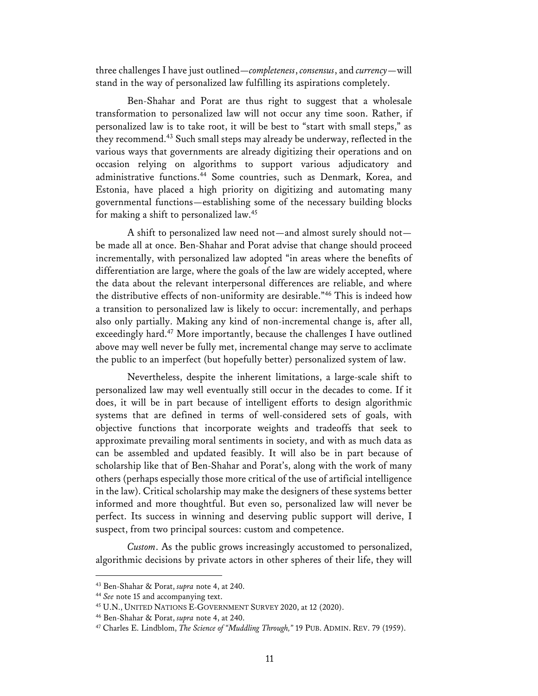three challenges I have just outlined—*completeness*, *consensus*, and *currency*—will stand in the way of personalized law fulfilling its aspirations completely.

Ben-Shahar and Porat are thus right to suggest that a wholesale transformation to personalized law will not occur any time soon. Rather, if personalized law is to take root, it will be best to "start with small steps," as they recommend.43 Such small steps may already be underway, reflected in the various ways that governments are already digitizing their operations and on occasion relying on algorithms to support various adjudicatory and administrative functions.<sup>44</sup> Some countries, such as Denmark, Korea, and Estonia, have placed a high priority on digitizing and automating many governmental functions—establishing some of the necessary building blocks for making a shift to personalized law.45

A shift to personalized law need not—and almost surely should not be made all at once. Ben-Shahar and Porat advise that change should proceed incrementally, with personalized law adopted "in areas where the benefits of differentiation are large, where the goals of the law are widely accepted, where the data about the relevant interpersonal differences are reliable, and where the distributive effects of non-uniformity are desirable."46 This is indeed how a transition to personalized law is likely to occur: incrementally, and perhaps also only partially. Making any kind of non-incremental change is, after all, exceedingly hard. <sup>47</sup> More importantly, because the challenges I have outlined above may well never be fully met, incremental change may serve to acclimate the public to an imperfect (but hopefully better) personalized system of law.

Nevertheless, despite the inherent limitations, a large-scale shift to personalized law may well eventually still occur in the decades to come. If it does, it will be in part because of intelligent efforts to design algorithmic systems that are defined in terms of well-considered sets of goals, with objective functions that incorporate weights and tradeoffs that seek to approximate prevailing moral sentiments in society, and with as much data as can be assembled and updated feasibly. It will also be in part because of scholarship like that of Ben-Shahar and Porat's, along with the work of many others (perhaps especially those more critical of the use of artificial intelligence in the law). Critical scholarship may make the designers of these systems better informed and more thoughtful. But even so, personalized law will never be perfect. Its success in winning and deserving public support will derive, I suspect, from two principal sources: custom and competence.

*Custom*. As the public grows increasingly accustomed to personalized, algorithmic decisions by private actors in other spheres of their life, they will

<sup>43</sup> Ben-Shahar & Porat, *supra* note 4, at 240.

<sup>44</sup> *See* note 15 and accompanying text.

<sup>45</sup> U.N., UNITED NATIONS E-GOVERNMENT SURVEY 2020, at 12 (2020).

<sup>46</sup> Ben-Shahar & Porat, *supra* note 4, at 240.

<sup>47</sup> Charles E. Lindblom, *The Science of "Muddling Through,"* 19 PUB. ADMIN. REV. 79 (1959).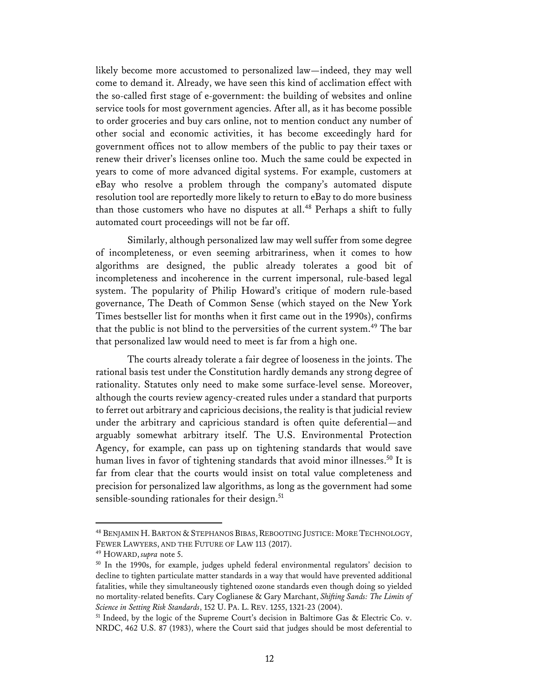likely become more accustomed to personalized law—indeed, they may well come to demand it. Already, we have seen this kind of acclimation effect with the so-called first stage of e-government: the building of websites and online service tools for most government agencies. After all, as it has become possible to order groceries and buy cars online, not to mention conduct any number of other social and economic activities, it has become exceedingly hard for government offices not to allow members of the public to pay their taxes or renew their driver's licenses online too. Much the same could be expected in years to come of more advanced digital systems. For example, customers at eBay who resolve a problem through the company's automated dispute resolution tool are reportedly more likely to return to eBay to do more business than those customers who have no disputes at all.<sup>48</sup> Perhaps a shift to fully automated court proceedings will not be far off.

Similarly, although personalized law may well suffer from some degree of incompleteness, or even seeming arbitrariness, when it comes to how algorithms are designed, the public already tolerates a good bit of incompleteness and incoherence in the current impersonal, rule-based legal system. The popularity of Philip Howard's critique of modern rule-based governance, The Death of Common Sense (which stayed on the New York Times bestseller list for months when it first came out in the 1990s), confirms that the public is not blind to the perversities of the current system.<sup>49</sup> The bar that personalized law would need to meet is far from a high one.

The courts already tolerate a fair degree of looseness in the joints. The rational basis test under the Constitution hardly demands any strong degree of rationality. Statutes only need to make some surface-level sense. Moreover, although the courts review agency-created rules under a standard that purports to ferret out arbitrary and capricious decisions, the reality is that judicial review under the arbitrary and capricious standard is often quite deferential—and arguably somewhat arbitrary itself. The U.S. Environmental Protection Agency, for example, can pass up on tightening standards that would save human lives in favor of tightening standards that avoid minor illnesses.<sup>50</sup> It is far from clear that the courts would insist on total value completeness and precision for personalized law algorithms, as long as the government had some sensible-sounding rationales for their design.<sup>51</sup>

<sup>48</sup> BENJAMIN H. BARTON & STEPHANOS BIBAS,REBOOTING JUSTICE: MORE TECHNOLOGY, FEWER LAWYERS, AND THE FUTURE OF LAW 113 (2017).

<sup>49</sup> HOWARD, *supra* note 5.

<sup>50</sup> In the 1990s, for example, judges upheld federal environmental regulators' decision to decline to tighten particulate matter standards in a way that would have prevented additional fatalities, while they simultaneously tightened ozone standards even though doing so yielded no mortality-related benefits. Cary Coglianese & Gary Marchant, *Shifting Sands: The Limits of Science in Setting Risk Standards*, 152 U. PA. L. REV. 1255, 1321-23 (2004).

<sup>51</sup> Indeed, by the logic of the Supreme Court's decision in Baltimore Gas & Electric Co. v. NRDC, 462 U.S. 87 (1983), where the Court said that judges should be most deferential to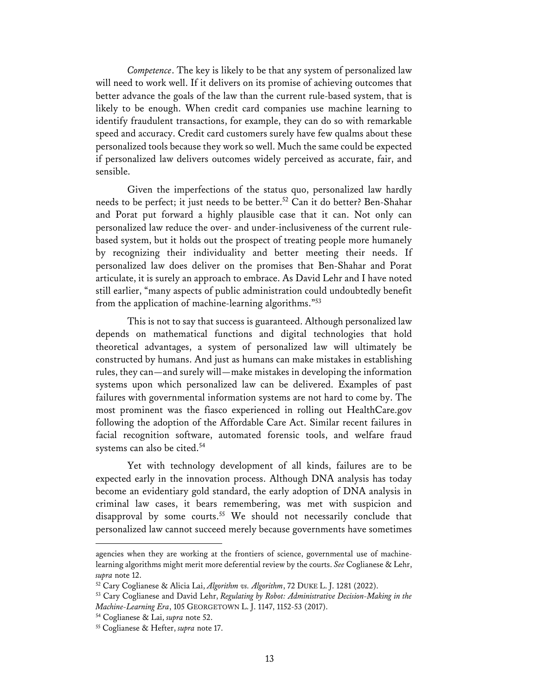*Competence*. The key is likely to be that any system of personalized law will need to work well. If it delivers on its promise of achieving outcomes that better advance the goals of the law than the current rule-based system, that is likely to be enough. When credit card companies use machine learning to identify fraudulent transactions, for example, they can do so with remarkable speed and accuracy. Credit card customers surely have few qualms about these personalized tools because they work so well. Much the same could be expected if personalized law delivers outcomes widely perceived as accurate, fair, and sensible.

Given the imperfections of the status quo, personalized law hardly needs to be perfect; it just needs to be better. <sup>52</sup> Can it do better? Ben-Shahar and Porat put forward a highly plausible case that it can. Not only can personalized law reduce the over- and under-inclusiveness of the current rulebased system, but it holds out the prospect of treating people more humanely by recognizing their individuality and better meeting their needs. If personalized law does deliver on the promises that Ben-Shahar and Porat articulate, it is surely an approach to embrace. As David Lehr and I have noted still earlier, "many aspects of public administration could undoubtedly benefit from the application of machine-learning algorithms."53

This is not to say that success is guaranteed. Although personalized law depends on mathematical functions and digital technologies that hold theoretical advantages, a system of personalized law will ultimately be constructed by humans. And just as humans can make mistakes in establishing rules, they can—and surely will—make mistakes in developing the information systems upon which personalized law can be delivered. Examples of past failures with governmental information systems are not hard to come by. The most prominent was the fiasco experienced in rolling out HealthCare.gov following the adoption of the Affordable Care Act. Similar recent failures in facial recognition software, automated forensic tools, and welfare fraud systems can also be cited.<sup>54</sup>

Yet with technology development of all kinds, failures are to be expected early in the innovation process. Although DNA analysis has today become an evidentiary gold standard, the early adoption of DNA analysis in criminal law cases, it bears remembering, was met with suspicion and disapproval by some courts.<sup>55</sup> We should not necessarily conclude that personalized law cannot succeed merely because governments have sometimes

agencies when they are working at the frontiers of science, governmental use of machinelearning algorithms might merit more deferential review by the courts. *See* Coglianese & Lehr, *supra* note 12.

<sup>52</sup> Cary Coglianese & Alicia Lai, *Algorithm vs. Algorithm*, 72 DUKE L. J. 1281 (2022).

<sup>53</sup> Cary Coglianese and David Lehr, *Regulating by Robot: Administrative Decision-Making in the Machine-Learning Era*, 105 GEORGETOWN L. J. 1147, 1152-53 (2017).

<sup>54</sup> Coglianese & Lai, *supra* note 52.

<sup>55</sup> Coglianese & Hefter, *supra* note 17.